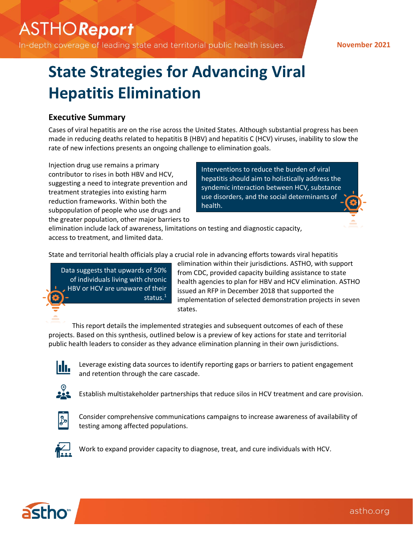# **ASTHOReport**

In-depth coverage of leading state and territorial public health issues.

### **November 2021**

# **State Strategies for Advancing Viral Hepatitis Elimination**

## **Executive Summary**

Cases of viral hepatitis are on the rise across the United States. Although substantial progress has been made in reducing deaths related to hepatitis B (HBV) and hepatitis C (HCV) viruses, inability to slow the rate of new infections presents an ongoing challenge to elimination goals.

Injection drug use remains a primary contributor to rises in both HBV and HCV, suggesting a need to integrate prevention and treatment strategies into existing harm reduction frameworks. Within both the subpopulation of people who use drugs and the greater population, other major barriers to

Interventions to reduce the burden of viral hepatitis should aim to holistically address the syndemic interaction between HCV, substance use disorders, and the social determinants of health.

elimination include lack of awareness, limitations on testing and diagnostic capacity, access to treatment, and limited data.

State and territorial health officials play a crucial role in advancing efforts towards viral hepatitis

Data suggests that upwards of 50% of individuals living with chronic HBV or HCV are unaware of their status. 1

elimination within their jurisdictions. ASTHO, with support from CDC, provided capacity building assistance to state health agencies to plan for HBV and HCV elimination. ASTHO issued an RFP in December 2018 that supported the implementation of selected demonstration projects in seven states.

This report details the implemented strategies and subsequent outcomes of each of these projects. Based on this synthesis, outlined below is a preview of key actions for state and territorial public health leaders to consider as they advance elimination planning in their own jurisdictions.



Leverage existing data sources to identify reporting gaps or barriers to patient engagement and retention through the care cascade.



Establish multistakeholder partnerships that reduce silos in HCV treatment and care provision.



Consider comprehensive communications campaigns to increase awareness of availability of testing among affected populations.



Work to expand provider capacity to diagnose, treat, and cure individuals with HCV.

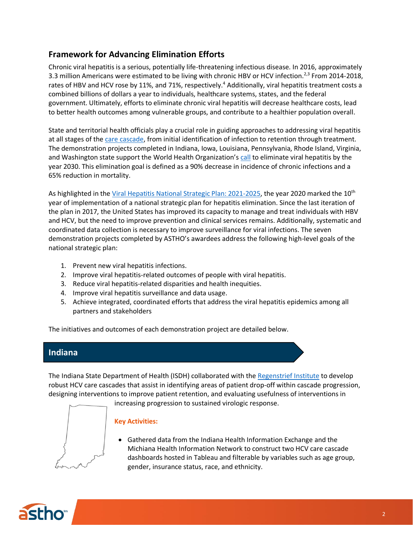# **Framework for Advancing Elimination Efforts**

Chronic viral hepatitis is a serious, potentially life-threatening infectious disease. In 2016, approximately 3.3 million Americans were estimated to be living with chronic HBV or HCV infection.<sup>2,3</sup> From 2014-2018, rates of HBV and HCV rose by 11%, and 71%, respectively.<sup>4</sup> Additionally, viral hepatitis treatment costs a combined billions of dollars a year to individuals, healthcare systems, states, and the federal government. Ultimately, efforts to eliminate chronic viral hepatitis will decrease healthcare costs, lead to better health outcomes among vulnerable groups, and contribute to a healthier population overall.

State and territorial health officials play a crucial role in guiding approaches to addressing viral hepatitis at all stages of the care [cascade,](https://www.ncbi.nlm.nih.gov/core/lw/2.0/html/tileshop_pmc/tileshop_pmc_inline.html?title=FIG.%201.1.%20Cascade%20of%20viral%20hepatitis%20prevention%2C%20diagnosis%2C%20care%20and%20treatment.&p=BOOKS&id=442291_ch1f1.jpg) from initial identification of infection to retention through treatment. The demonstration projects completed in Indiana, Iowa, Louisiana, Pennsylvania, Rhode Island, Virginia, and Washington state support the World Health Organization's [call](https://www.who.int/publications/i/item/combating-hepatitis-b-and-c-to-reach-elimination-by-2030) to eliminate viral hepatitis by the year 2030. This elimination goal is defined as a 90% decrease in incidence of chronic infections and a 65% reduction in mortality.

As highlighted in the [Viral Hepatitis National Strategic Plan: 2021-2025,](https://www.hhs.gov/sites/default/files/Viral-Hepatitis-National-Strategic-Plan-2021-2025.pdf) the year 2020 marked the 10<sup>th</sup> year of implementation of a national strategic plan for hepatitis elimination. Since the last iteration of the plan in 2017, the United States has improved its capacity to manage and treat individuals with HBV and HCV, but the need to improve prevention and clinical services remains. Additionally, systematic and coordinated data collection is necessary to improve surveillance for viral infections. The seven demonstration projects completed by ASTHO's awardees address the following high-level goals of the national strategic plan:

- 1. Prevent new viral hepatitis infections.
- 2. Improve viral hepatitis-related outcomes of people with viral hepatitis.
- 3. Reduce viral hepatitis-related disparities and health inequities.
- 4. Improve viral hepatitis surveillance and data usage.
- 5. Achieve integrated, coordinated efforts that address the viral hepatitis epidemics among all partners and stakeholders

The initiatives and outcomes of each demonstration project are detailed below.

## **Indiana**

The Indiana State Department of Health (ISDH) collaborated with the [Regenstrief Institute](https://www.regenstrief.org/) to develop robust HCV care cascades that assist in identifying areas of patient drop-off within cascade progression, designing interventions to improve patient retention, and evaluating usefulness of interventions in

increasing progression to sustained virologic response.

## **Key Activities:**

• Gathered data from the Indiana Health Information Exchange and the Michiana Health Information Network to construct two HCV care cascade dashboards hosted in Tableau and filterable by variables such as age group, gender, insurance status, race, and ethnicity.

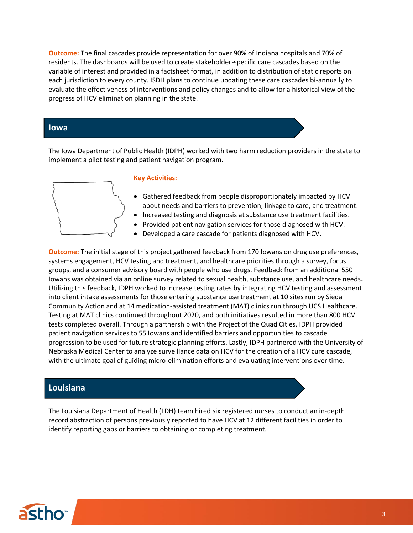**Outcome:** The final cascades provide representation for over 90% of Indiana hospitals and 70% of residents. The dashboards will be used to create stakeholder-specific care cascades based on the variable of interest and provided in a factsheet format, in addition to distribution of static reports on each jurisdiction to every county. ISDH plans to continue updating these care cascades bi-annually to evaluate the effectiveness of interventions and policy changes and to allow for a historical view of the progress of HCV elimination planning in the state.

### **Iowa**

The Iowa Department of Public Health (IDPH) worked with two harm reduction providers in the state to implement a pilot testing and patient navigation program.



#### **Key Activities:**

- Gathered feedback from people disproportionately impacted by HCV about needs and barriers to prevention, linkage to care, and treatment.
- Increased testing and diagnosis at substance use treatment facilities.
- Provided patient navigation services for those diagnosed with HCV.
- Developed a care cascade for patients diagnosed with HCV.

**Outcome:** The initial stage of this project gathered feedback from 170 Iowans on drug use preferences, systems engagement, HCV testing and treatment, and healthcare priorities through a survey, focus groups, and a consumer advisory board with people who use drugs. Feedback from an additional 550 Iowans was obtained via an online survey related to sexual health, substance use, and healthcare needs**.** Utilizing this feedback, IDPH worked to increase testing rates by integrating HCV testing and assessment into client intake assessments for those entering substance use treatment at 10 sites run by Sieda Community Action and at 14 medication-assisted treatment (MAT) clinics run through UCS Healthcare. Testing at MAT clinics continued throughout 2020, and both initiatives resulted in more than 800 HCV tests completed overall. Through a partnership with the Project of the Quad Cities, IDPH provided patient navigation services to 55 Iowans and identified barriers and opportunities to cascade progression to be used for future strategic planning efforts. Lastly, IDPH partnered with the University of Nebraska Medical Center to analyze surveillance data on HCV for the creation of a HCV cure cascade, with the ultimate goal of guiding micro-elimination efforts and evaluating interventions over time.

## **Louisiana**

The Louisiana Department of Health (LDH) team hired six registered nurses to conduct an in-depth record abstraction of persons previously reported to have HCV at 12 different facilities in order to identify reporting gaps or barriers to obtaining or completing treatment.

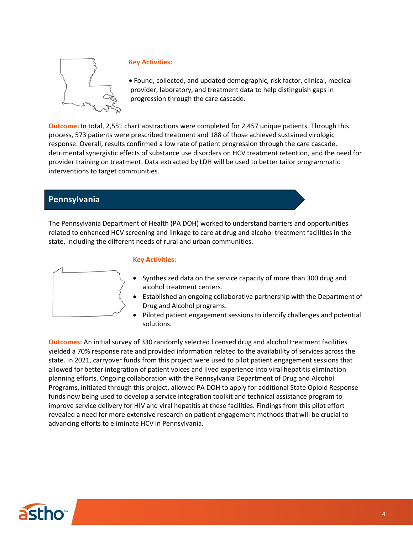

#### **Key Activities:**

• Found, collected, and updated demographic, risk factor, clinical, medical provider, laboratory, and treatment data to help distinguish gaps in progression through the care cascade.

**Outcome:** In total, 2,551 chart abstractions were completed for 2,457 unique patients. Through this process, 573 patients were prescribed treatment and 188 of those achieved sustained virologic response. Overall, results confirmed a low rate of patient progression through the care cascade, detrimental synergistic effects of substance use disorders on HCV treatment retention, and the need for provider training on treatment. Data extracted by LDH will be used to better tailor programmatic interventions to target communities.

## **Pennsylvania**

The Pennsylvania Department of Health (PA DOH) worked to understand barriers and opportunities related to enhanced HCV screening and linkage to care at drug and alcohol treatment facilities in the state, including the different needs of rural and urban communities.



#### **Key Activities:**

- Synthesized data on the service capacity of more than 300 drug and alcohol treatment centers.
- Established an ongoing collaborative partnership with the Department of Drug and Alcohol programs.
- Piloted patient engagement sessions to identify challenges and potential solutions.

**Outcomes:** An initial survey of 330 randomly selected licensed drug and alcohol treatment facilities yielded a 70% response rate and provided information related to the availability of services across the state. In 2021, carryover funds from this project were used to pilot patient engagement sessions that allowed for better integration of patient voices and lived experience into viral hepatitis elimination planning efforts. Ongoing collaboration with the Pennsylvania Department of Drug and Alcohol Programs, initiated through this project, allowed PA DOH to apply for additional State Opioid Response funds now being used to develop a service integration toolkit and technical assistance program to improve service delivery for HIV and viral hepatitis at these facilities. Findings from this pilot effort revealed a need for more extensive research on patient engagement methods that will be crucial to advancing efforts to eliminate HCV in Pennsylvania.

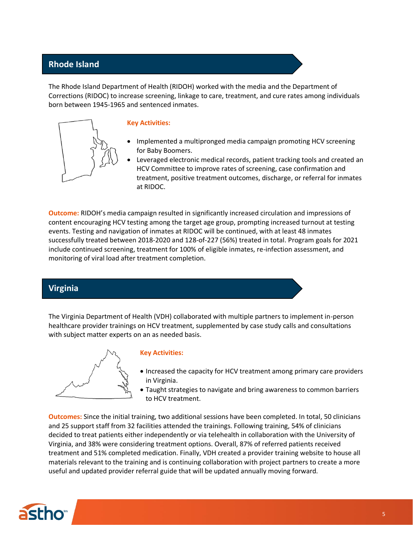# **Rhode Island**

The Rhode Island Department of Health (RIDOH) worked with the media and the Department of Corrections (RIDOC) to increase screening, linkage to care, treatment, and cure rates among individuals born between 1945-1965 and sentenced inmates.



#### **Key Activities:**

- Implemented a multipronged media campaign promoting HCV screening for Baby Boomers.
- Leveraged electronic medical records, patient tracking tools and created an HCV Committee to improve rates of screening, case confirmation and treatment, positive treatment outcomes, discharge, or referral for inmates at RIDOC.

**Outcome:** RIDOH's media campaign resulted in significantly increased circulation and impressions of content encouraging HCV testing among the target age group, prompting increased turnout at testing events. Testing and navigation of inmates at RIDOC will be continued, with at least 48 inmates successfully treated between 2018-2020 and 128-of-227 (56%) treated in total. Program goals for 2021 include continued screening, treatment for 100% of eligible inmates, re-infection assessment, and monitoring of viral load after treatment completion.

## **Virginia**

The Virginia Department of Health (VDH) collaborated with multiple partners to implement in-person healthcare provider trainings on HCV treatment, supplemented by case study calls and consultations with subject matter experts on an as needed basis.



#### **Key Activities:**

- Increased the capacity for HCV treatment among primary care providers in Virginia.
- Taught strategies to navigate and bring awareness to common barriers to HCV treatment.

**Outcomes:** Since the initial training, two additional sessions have been completed. In total, 50 clinicians and 25 support staff from 32 facilities attended the trainings. Following training, 54% of clinicians decided to treat patients either independently or via telehealth in collaboration with the University of Virginia, and 38% were considering treatment options. Overall, 87% of referred patients received treatment and 51% completed medication. Finally, VDH created a provider training website to house all materials relevant to the training and is continuing collaboration with project partners to create a more useful and updated provider referral guide that will be updated annually moving forward.